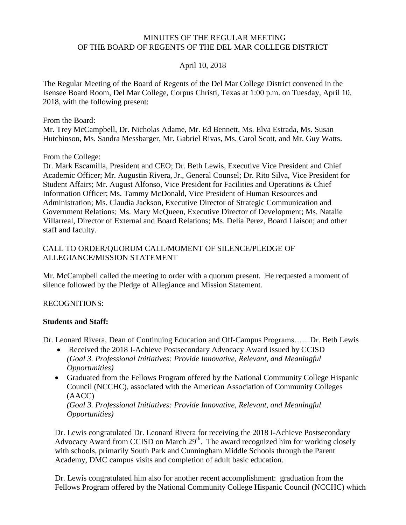### MINUTES OF THE REGULAR MEETING OF THE BOARD OF REGENTS OF THE DEL MAR COLLEGE DISTRICT

## April 10, 2018

 The Regular Meeting of the Board of Regents of the Del Mar College District convened in the Isensee Board Room, Del Mar College, Corpus Christi, Texas at 1:00 p.m. on Tuesday, April 10, 2018, with the following present:

From the Board:

 Mr. Trey McCampbell, Dr. Nicholas Adame, Mr. Ed Bennett, Ms. Elva Estrada, Ms. Susan Hutchinson, Ms. Sandra Messbarger, Mr. Gabriel Rivas, Ms. Carol Scott, and Mr. Guy Watts.

From the College:

 Dr. Mark Escamilla, President and CEO; Dr. Beth Lewis, Executive Vice President and Chief Academic Officer; Mr. Augustin Rivera, Jr., General Counsel; Dr. Rito Silva, Vice President for Student Affairs; Mr. August Alfonso, Vice President for Facilities and Operations & Chief Information Officer; Ms. Tammy McDonald, Vice President of Human Resources and Administration; Ms. Claudia Jackson, Executive Director of Strategic Communication and Government Relations; Ms. Mary McQueen, Executive Director of Development; Ms. Natalie Villarreal, Director of External and Board Relations; Ms. Delia Perez, Board Liaison; and other staff and faculty.

### CALL TO ORDER/QUORUM CALL/MOMENT OF SILENCE/PLEDGE OF ALLEGIANCE/MISSION STATEMENT

 Mr. McCampbell called the meeting to order with a quorum present. He requested a moment of silence followed by the Pledge of Allegiance and Mission Statement.

#### RECOGNITIONS:

#### **Students and Staff:**

Dr. Leonard Rivera, Dean of Continuing Education and Off-Campus [Programs…....Dr](https://Programs�....Dr). Beth Lewis

- Received the 2018 I-Achieve Postsecondary Advocacy Award issued by CCISD *(Goal 3. Professional Initiatives: Provide Innovative, Relevant, and Meaningful Opportunities)*
- Graduated from the Fellows Program offered by the National Community College Hispanic Council (NCCHC), associated with the American Association of Community Colleges (AACC)

*(Goal 3. Professional Initiatives: Provide Innovative, Relevant, and Meaningful Opportunities)* 

Dr. Lewis congratulated Dr. Leonard Rivera for receiving the 2018 I-Achieve Postsecondary Advocacy Award from CCISD on March  $29<sup>th</sup>$ . The award recognized him for working closely with schools, primarily South Park and Cunningham Middle Schools through the Parent Academy, DMC campus visits and completion of adult basic education.

Dr. Lewis congratulated him also for another recent accomplishment: graduation from the Fellows Program offered by the National Community College Hispanic Council (NCCHC) which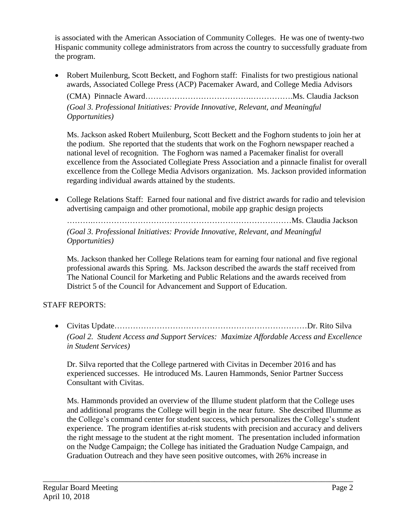is associated with the American Association of Community Colleges. He was one of twenty-two Hispanic community college administrators from across the country to successfully graduate from the program.

 Robert Muilenburg, Scott Beckett, and Foghorn staff: Finalists for two prestigious national awards, Associated College Press (ACP) Pacemaker Award, and College Media Advisors

 (CMA) Pinnacle Award[…………………………………](https://Award�������������.�����.Ms).…………….Ms. Claudia Jackson  *(Goal 3. Professional Initiatives: Provide Innovative, Relevant, and Meaningful Opportunities)* 

 Ms. Jackson asked Robert Muilenburg, Scott Beckett and the Foghorn students to join her at the podium. She reported that the students that work on the Foghorn newspaper reached a national level of recognition. The Foghorn was named a Pacemaker finalist for overall excellence from the Associated Collegiate Press Association and a pinnacle finalist for overall excellence from the College Media Advisors organization. Ms. Jackson provided information regarding individual awards attained by the students.

 College Relations Staff: Earned four national and five district awards for radio and television advertising campaign and other promotional, mobile app graphic design projects

 ……….…………………………………………………………………Ms. Claudia Jackson  *(Goal 3. Professional Initiatives: Provide Innovative, Relevant, and Meaningful Opportunities)* 

 Ms. Jackson thanked her College Relations team for earning four national and five regional professional awards this Spring. Ms. Jackson described the awards the staff received from The National Council for Marketing and Public Relations and the awards received from District 5 of the Council for Advancement and Support of Education.

# STAFF REPORTS:

 Civitas Update…………………………………………….…………………Dr. Rito Silva  *(Goal 2. Student Access and Support Services: Maximize Affordable Access and Excellence in Student Services)* 

 Dr. Silva reported that the College partnered with Civitas in December 2016 and has experienced successes. He introduced Ms. Lauren Hammonds, Senior Partner Success Consultant with Civitas.

 Ms. Hammonds provided an overview of the Illume student platform that the College uses and additional programs the College will begin in the near future. She described Illumme as the College's command center for student success, which personalizes the College's student experience. The program identifies at-risk students with precision and accuracy and delivers the right message to the student at the right moment. The presentation included information on the Nudge Campaign; the College has initiated the Graduation Nudge Campaign, and Graduation Outreach and they have seen positive outcomes, with 26% increase in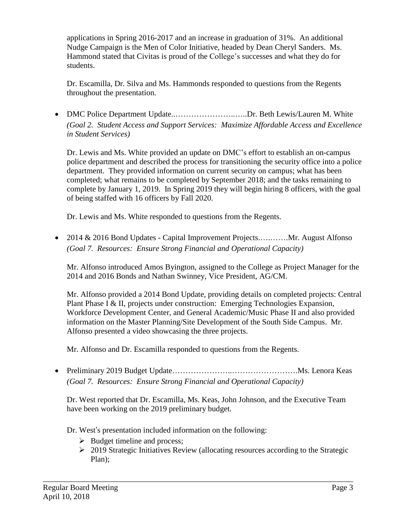applications in Spring 2016-2017 and an increase in graduation of 31%. An additional Nudge Campaign is the Men of Color Initiative, headed by Dean Cheryl Sanders. Ms. Hammond stated that Civitas is proud of the College's successes and what they do for students.

 Dr. Escamilla, Dr. Silva and Ms. Hammonds responded to questions from the Regents throughout the presentation.

• DMC Police Department Update................................Dr. Beth Lewis/Lauren M. White  *(Goal 2. Student Access and Support Services: Maximize Affordable Access and Excellence in Student Services)* 

 Dr. Lewis and Ms. White provided an update on DMC's effort to establish an on-campus police department and described the process for transitioning the security office into a police department. They provided information on current security on campus; what has been completed; what remains to be completed by September 2018; and the tasks remaining to complete by January 1, 2019. In Spring 2019 they will begin hiring 8 officers, with the goal of being staffed with 16 officers by Fall 2020.

Dr. Lewis and Ms. White responded to questions from the Regents.

• 2014 & 2016 Bond Updates - Capital Improvement [Projects.](https://Projects.�.��.Mr)...........Mr. August Alfonso  *(Goal 7. Resources: Ensure Strong Financial and Operational Capacity)* 

 Mr. Alfonso introduced Amos Byington, assigned to the College as Project Manager for the 2014 and 2016 Bonds and Nathan Swinney, Vice President, AG/CM.

 Mr. Alfonso provided a 2014 Bond Update, providing details on completed projects: Central Plant Phase I & II, projects under construction: Emerging Technologies Expansion, Workforce Development Center, and General Academic/Music Phase II and also provided information on the Master Planning/Site Development of the South Side Campus. Mr. Alfonso presented a video showcasing the three projects.

Mr. Alfonso and Dr. Escamilla responded to questions from the Regents.

 Preliminary 2019 Budget Update…………………..[……………………](https://Update�������..��������.Ms).Ms. Lenora Keas  *(Goal 7. Resources: Ensure Strong Financial and Operational Capacity)* 

 Dr. West reported that Dr. Escamilla, Ms. Keas, John Johnson, and the Executive Team have been working on the 2019 preliminary budget.

Dr. West's presentation included information on the following:

- $\triangleright$  Budget timeline and process;
- 2019 Strategic Initiatives Review (allocating resources according to the Strategic Plan);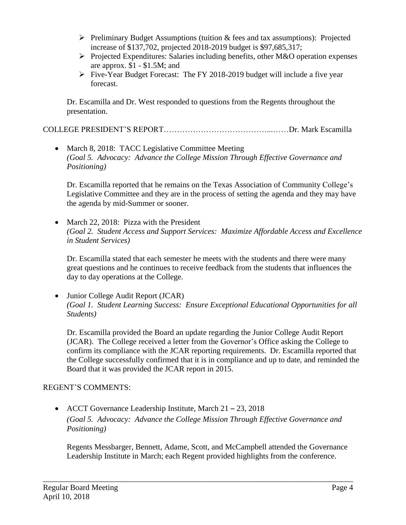- $\triangleright$  Preliminary Budget Assumptions (tuition & fees and tax assumptions): Projected increase of \$137,702, projected 2018-2019 budget is \$97,685,317;
- Projected Expenditures: Salaries including benefits, other M&O operation expenses are approx. \$1 - \$1.5M; and
- Five-Year Budget Forecast: The FY 2018-2019 budget will include a five year forecast.

 Dr. Escamilla and Dr. West responded to questions from the Regents throughout the presentation.

COLLEGE PRESIDENT'S REPORT…………………………………...……Dr. Mark Escamilla

• March 8, 2018: TACC Legislative Committee Meeting  *(Goal 5. Advocacy: Advance the College Mission Through Effective Governance and Positioning)* 

 Dr. Escamilla reported that he remains on the Texas Association of Community College's Legislative Committee and they are in the process of setting the agenda and they may have the agenda by mid-Summer or sooner.

• March 22, 2018: Pizza with the President  *(Goal 2. Student Access and Support Services: Maximize Affordable Access and Excellence in Student Services)* 

 Dr. Escamilla stated that each semester he meets with the students and there were many great questions and he continues to receive feedback from the students that influences the day to day operations at the College.

 Junior College Audit Report (JCAR)  *(Goal 1. Student Learning Success: Ensure Exceptional Educational Opportunities for all Students)* 

 Dr. Escamilla provided the Board an update regarding the Junior College Audit Report (JCAR). The College received a letter from the Governor's Office asking the College to confirm its compliance with the JCAR reporting requirements. Dr. Escamilla reported that the College successfully confirmed that it is in compliance and up to date, and reminded the Board that it was provided the JCAR report in 2015.

# REGENT'S COMMENTS:

• ACCT Governance Leadership Institute, March 21 – 23, 2018  *(Goal 5. Advocacy: Advance the College Mission Through Effective Governance and Positioning)* 

\_\_\_\_\_\_\_\_\_\_\_\_\_\_\_\_\_\_\_\_\_\_\_\_\_\_\_\_\_\_\_\_\_\_\_\_\_\_\_\_\_\_\_\_\_\_\_\_\_\_\_\_\_\_\_\_\_\_\_\_\_\_\_\_\_\_\_\_\_\_\_\_\_\_\_\_\_\_

 Regents Messbarger, Bennett, Adame, Scott, and McCampbell attended the Governance Leadership Institute in March; each Regent provided highlights from the conference.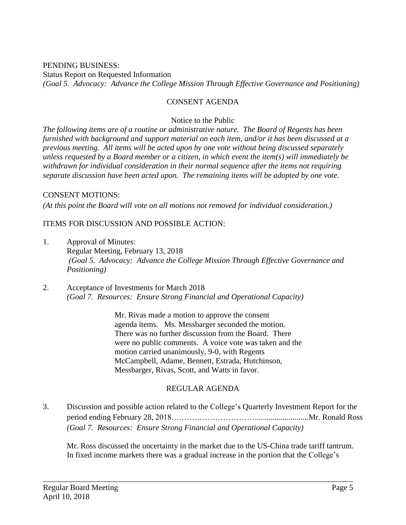Status Report on Requested Information  *(Goal 5. Advocacy: Advance the College Mission Through Effective Governance and Positioning)*  PENDING BUSINESS:

# CONSENT AGENDA

## Notice to the Public

 *The following items are of a routine or administrative nature. The Board of Regents has been furnished with background and support material on each item, and/or it has been discussed at a previous meeting. All items will be acted upon by one vote without being discussed separately unless requested by a Board member or a citizen, in which event the item(s) will immediately be withdrawn for individual consideration in their normal sequence after the items not requiring separate discussion have been acted upon. The remaining items will be adopted by one vote.* 

## CONSENT MOTIONS:

 *(At this point the Board will vote on all motions not removed for individual consideration.)* 

## ITEMS FOR DISCUSSION AND POSSIBLE ACTION:

- 1. Approval of Minutes: Regular Meeting, February 13, 2018  *(Goal 5. Advocacy: Advance the College Mission Through Effective Governance and Positioning)*
- 2. Acceptance of Investments for March 2018  *(Goal 7. Resources: Ensure Strong Financial and Operational Capacity)*

 There was no further discussion from the Board. There Mr. Rivas made a motion to approve the consent agenda items. Ms. Messbarger seconded the motion. were no public comments. A voice vote was taken and the motion carried unanimously, 9-0, with Regents McCampbell, Adame, Bennett, Estrada, Hutchinson, Messbarger, Rivas, Scott, and Watts in favor.

# REGULAR AGENDA

 3. Discussion and possible action related to the College's Quarterly Investment Report for the period ending February 28, [2018….…….…………………...........................Mr](https://2018�.��.�������...........................Mr). Ronald Ross  *(Goal 7. Resources: Ensure Strong Financial and Operational Capacity)* 

\_\_\_\_\_\_\_\_\_\_\_\_\_\_\_\_\_\_\_\_\_\_\_\_\_\_\_\_\_\_\_\_\_\_\_\_\_\_\_\_\_\_\_\_\_\_\_\_\_\_\_\_\_\_\_\_\_\_\_\_\_\_\_\_\_\_\_\_\_\_\_\_\_\_\_\_\_\_

 Mr. Ross discussed the uncertainty in the market due to the US-China trade tariff tantrum. In fixed income markets there was a gradual increase in the portion that the College's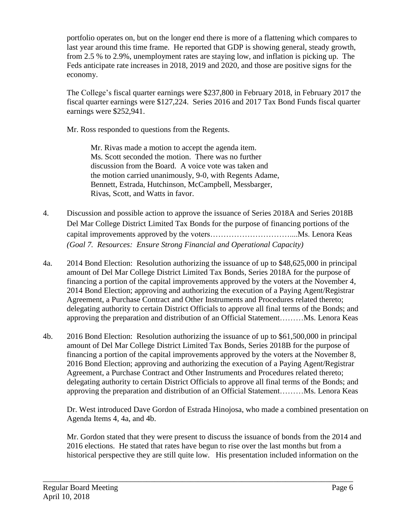portfolio operates on, but on the longer end there is more of a flattening which compares to last year around this time frame. He reported that GDP is showing general, steady growth, from 2.5 % to 2.9%, unemployment rates are staying low, and inflation is picking up. The Feds anticipate rate increases in 2018, 2019 and 2020, and those are positive signs for the economy.

 The College's fiscal quarter earnings were \$237,800 in February 2018, in February 2017 the fiscal quarter earnings were \$127,224. Series 2016 and 2017 Tax Bond Funds fiscal quarter earnings were \$252,941.

Mr. Ross responded to questions from the Regents.

 Mr. Rivas made a motion to accept the agenda item. Ms. Scott seconded the motion. There was no further discussion from the Board. A voice vote was taken and the motion carried unanimously, 9-0, with Regents Adame, Bennett, Estrada, Hutchinson, McCampbell, Messbarger, Rivas, Scott, and Watts in favor.

- 4. Discussion and possible action to approve the issuance of Series 2018A and Series 2018B Del Mar College District Limited Tax Bonds for the purpose of financing portions of the capital improvements approved by the [voters…………………………....Ms](https://voters����������....Ms). Lenora Keas  *(Goal 7. Resources: Ensure Strong Financial and Operational Capacity)*
- $4a$  amount of Del Mar College District Limited Tax Bonds, Series 2018A for the purpose of financing a portion of the capital improvements approved by the voters at the November 4, 2014 Bond Election; approving and authorizing the execution of a Paying Agent/Registrar delegating authority to certain District Officials to approve all final terms of the Bonds; and approving the preparation and distribution of an Official Statement………Ms. Lenora Keas  $2014$  Bond Election: Resolution authorizing the issuance of up to \$48,625,000 in principal Agreement, a Purchase Contract and Other Instruments and Procedures related thereto;
- 4b. amount of Del Mar College District Limited Tax Bonds, Series 2018B for the purpose of financing a portion of the capital improvements approved by the voters at the November 8, 2016 Bond Election; approving and authorizing the execution of a Paying Agent/Registrar Agreement, a Purchase Contract and Other Instruments and Procedures related thereto; delegating authority to certain District Officials to approve all final terms of the Bonds; and approving the preparation and distribution of an Official Statement………Ms. Lenora Keas 2016 Bond Election: Resolution authorizing the issuance of up to \$61,500,000 in principal

 Dr. West introduced Dave Gordon of Estrada Hinojosa, who made a combined presentation on Agenda Items 4, 4a, and 4b.

 Mr. Gordon stated that they were present to discuss the issuance of bonds from the 2014 and 2016 elections. He stated that rates have begun to rise over the last months but from a historical perspective they are still quite low. His presentation included information on the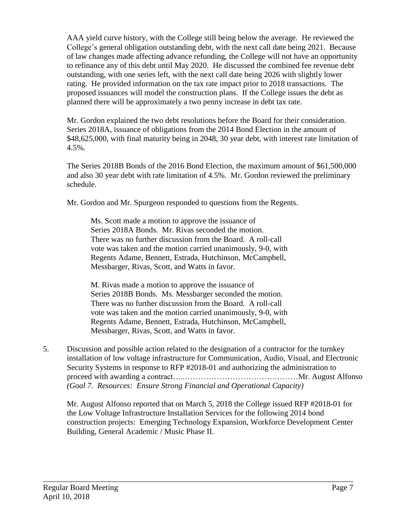AAA yield curve history, with the College still being below the average. He reviewed the College's general obligation outstanding debt, with the next call date being 2021. Because of law changes made affecting advance refunding, the College will not have an opportunity to refinance any of this debt until May 2020. He discussed the combined fee revenue debt outstanding, with one series left, with the next call date being 2026 with slightly lower rating. He provided information on the tax rate impact prior to 2018 transactions. The proposed issuances will model the construction plans. If the College issues the debt as planned there will be approximately a two penny increase in debt tax rate.

 Mr. Gordon explained the two debt resolutions before the Board for their consideration. Series 2018A, issuance of obligations from the 2014 Bond Election in the amount of \$48,625,000, with final maturity being in 2048, 30 year debt, with interest rate limitation of  $4.5\%$ .

 4.5%. The Series 2018B Bonds of the 2016 Bond Election, the maximum amount of \$61,500,000 and also 30 year debt with rate limitation of 4.5%. Mr. Gordon reviewed the preliminary schedule.

Mr. Gordon and Mr. Spurgeon responded to questions from the Regents.

 Ms. Scott made a motion to approve the issuance of Series 2018A Bonds. Mr. Rivas seconded the motion. There was no further discussion from the Board. A roll-call vote was taken and the motion carried unanimously, 9-0, with Regents Adame, Bennett, Estrada, Hutchinson, McCampbell, Messbarger, Rivas, Scott, and Watts in favor.

 M. Rivas made a motion to approve the issuance of Series 2018B Bonds. Ms. Messbarger seconded the motion. There was no further discussion from the Board. A roll-call vote was taken and the motion carried unanimously, 9-0, with Regents Adame, Bennett, Estrada, Hutchinson, McCampbell, Messbarger, Rivas, Scott, and Watts in favor.

 5. Discussion and possible action related to the designation of a contractor for the turnkey installation of low voltage infrastructure for Communication, Audio, Visual, and Electronic Security Systems in response to RFP #2018-01 and authorizing the administration to proceed with awarding a contract…..…………………………….………Mr. August Alfonso *(Goal 7. Resources: Ensure Strong Financial and Operational Capacity)* 

 Mr. August Alfonso reported that on March 5, 2018 the College issued RFP #2018-01 for the Low Voltage Infrastructure Installation Services for the following 2014 bond construction projects: Emerging Technology Expansion, Workforce Development Center Building, General Academic / Music Phase II.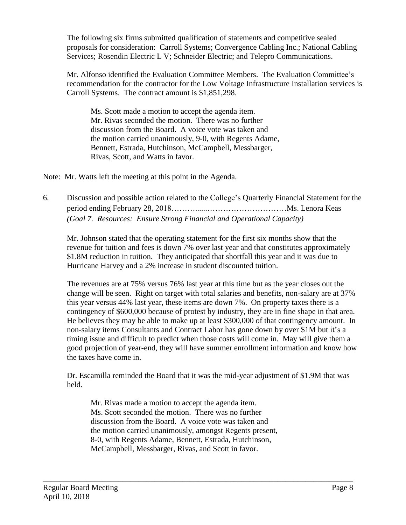The following six firms submitted qualification of statements and competitive sealed proposals for consideration: Carroll Systems; Convergence Cabling Inc.; National Cabling Services; Rosendin Electric L V; Schneider Electric; and Telepro Communications.

 Mr. Alfonso identified the Evaluation Committee Members. The Evaluation Committee's recommendation for the contractor for the Low Voltage Infrastructure Installation services is Carroll Systems. The contract amount is \$1,851,298.

 Ms. Scott made a motion to accept the agenda item. Mr. Rivas seconded the motion. There was no further discussion from the Board. A voice vote was taken and the motion carried unanimously, 9-0, with Regents Adame, Bennett, Estrada, Hutchinson, McCampbell, Messbarger, Rivas, Scott, and Watts in favor.

Note: Mr. Watts left the meeting at this point in the Agenda.

 6. Discussion and possible action related to the College's Quarterly Financial Statement for the period ending February 28, 2018………......…………………………Ms. Lenora Keas  *(Goal 7. Resources: Ensure Strong Financial and Operational Capacity)* 

 Mr. Johnson stated that the operating statement for the first six months show that the revenue for tuition and fees is down 7% over last year and that constitutes approximately \$1.8M reduction in tuition. They anticipated that shortfall this year and it was due to Hurricane Harvey and a 2% increase in student discounted tuition.

 The revenues are at 75% versus 76% last year at this time but as the year closes out the change will be seen. Right on target with total salaries and benefits, non-salary are at 37% this year versus 44% last year, these items are down 7%. On property taxes there is a contingency of \$600,000 because of protest by industry, they are in fine shape in that area. He believes they may be able to make up at least \$300,000 of that contingency amount. In non-salary items Consultants and Contract Labor has gone down by over \$1M but it's a timing issue and difficult to predict when those costs will come in. May will give them a good projection of year-end, they will have summer enrollment information and know how the taxes have come in.

 Dr. Escamilla reminded the Board that it was the mid-year adjustment of \$1.9M that was held.

 Mr. Rivas made a motion to accept the agenda item. Ms. Scott seconded the motion. There was no further discussion from the Board. A voice vote was taken and the motion carried unanimously, amongst Regents present, 8-0, with Regents Adame, Bennett, Estrada, Hutchinson, McCampbell, Messbarger, Rivas, and Scott in favor.